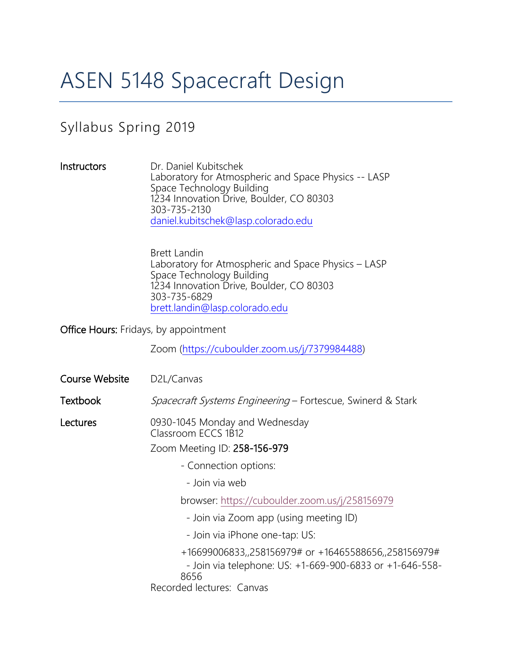# ASEN 5148 Spacecraft Design

# Syllabus Spring 2019

Instructors Dr. Daniel Kubitschek Laboratory for Atmospheric and Space Physics -- LASP Space Technology Building 1234 Innovation Drive, Boulder, CO 80303 303-735-2130 [daniel.kubitschek@lasp.colorado.edu](mailto:mcgrath@lasp.colorado.edu)

> Brett Landin Laboratory for Atmospheric and Space Physics – LASP Space Technology Building 1234 Innovation Drive, Boulder, CO 80303 303-735-6829 [brett.landin@lasp.colorado.edu](mailto:brett.landin@lasp.colorado.edu)

Office Hours: Fridays, by appointment

Zoom [\(https://cuboulder.zoom.us/j/7379984488\)](https://cuboulder.zoom.us/j/9268576553)

| Course Website | D2L/Canvas                                                                                                                                            |  |
|----------------|-------------------------------------------------------------------------------------------------------------------------------------------------------|--|
| Textbook       | <i>Spacecraft Systems Engineering</i> – Fortescue, Swinerd & Stark                                                                                    |  |
| Lectures       | 0930-1045 Monday and Wednesday<br>Classroom ECCS 1B12<br>Zoom Meeting ID: 258-156-979                                                                 |  |
|                | - Connection options:                                                                                                                                 |  |
|                | - Join via web                                                                                                                                        |  |
|                | browser: https://cuboulder.zoom.us/j/258156979                                                                                                        |  |
|                | - Join via Zoom app (using meeting ID)                                                                                                                |  |
|                | - Join via iPhone one-tap: US:                                                                                                                        |  |
|                | +16699006833,,258156979# or +16465588656,,258156979#<br>- Join via telephone: US: +1-669-900-6833 or +1-646-558-<br>8656<br>Recorded lectures: Canvas |  |
|                |                                                                                                                                                       |  |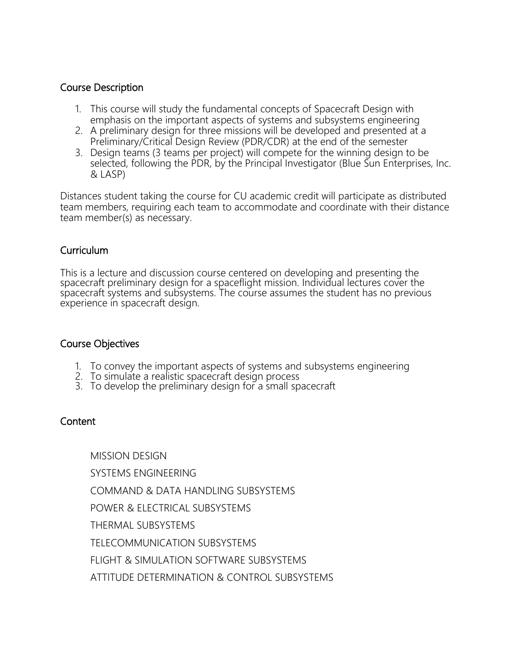#### Course Description

- 1. This course will study the fundamental concepts of Spacecraft Design with emphasis on the important aspects of systems and subsystems engineering
- 2. A preliminary design for three missions will be developed and presented at a Preliminary/Critical Design Review (PDR/CDR) at the end of the semester
- 3. Design teams (3 teams per project) will compete for the winning design to be selected, following the PDR, by the Principal Investigator (Blue Sun Enterprises, Inc. & LASP)

Distances student taking the course for CU academic credit will participate as distributed team members, requiring each team to accommodate and coordinate with their distance team member(s) as necessary.

# Curriculum

This is a lecture and discussion course centered on developing and presenting the spacecraft preliminary design for a spaceflight mission. Individual lectures cover the spacecraft systems and subsystems. The course assumes the student has no previous experience in spacecraft design.

#### Course Objectives

- 1. To convey the important aspects of systems and subsystems engineering
- 2. To simulate a realistic spacecraft design process
- 3. To develop the preliminary design for a small spacecraft

#### **Content**

MISSION DESIGN SYSTEMS ENGINEERING COMMAND & DATA HANDLING SUBSYSTEMS POWER & ELECTRICAL SUBSYSTEMS THERMAL SUBSYSTEMS TELECOMMUNICATION SUBSYSTEMS FLIGHT & SIMULATION SOFTWARE SUBSYSTEMS ATTITUDE DETERMINATION & CONTROL SUBSYSTEMS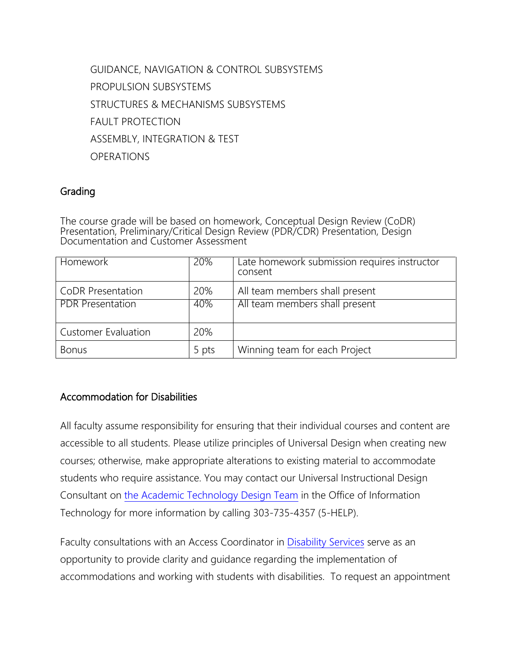GUIDANCE, NAVIGATION & CONTROL SUBSYSTEMS PROPULSION SUBSYSTEMS STRUCTURES & MECHANISMS SUBSYSTEMS FAULT PROTECTION ASSEMBLY, INTEGRATION & TEST **OPERATIONS** 

### Grading

The course grade will be based on homework, Conceptual Design Review (CoDR) Presentation, Preliminary/Critical Design Review (PDR/CDR) Presentation, Design Documentation and Customer Assessment

| Homework                   | 20%   | Late homework submission requires instructor<br>consent |
|----------------------------|-------|---------------------------------------------------------|
| CoDR Presentation          | 20%   | All team members shall present                          |
| <b>PDR Presentation</b>    | 40%   | All team members shall present                          |
| <b>Customer Evaluation</b> | 20%   |                                                         |
| <b>Bonus</b>               | 5 pts | Winning team for each Project                           |

# Accommodation for Disabilities

All faculty assume responsibility for ensuring that their individual courses and content are accessible to all students. Please utilize principles of Universal Design when creating new courses; otherwise, make appropriate alterations to existing material to accommodate students who require assistance. You may contact our Universal Instructional Design Consultant on [the Academic Technology Design Team](http://www.colorado.edu/oit/services/academic-technology/academic-technology-design-team) in the Office of Information Technology for more information by calling 303-735-4357 (5-HELP).

Faculty consultations with an Access Coordinator in [Disability Services](http://www.colorado.edu/disabilityservices/faculty-staff) serve as an opportunity to provide clarity and guidance regarding the implementation of accommodations and working with students with disabilities. To request an appointment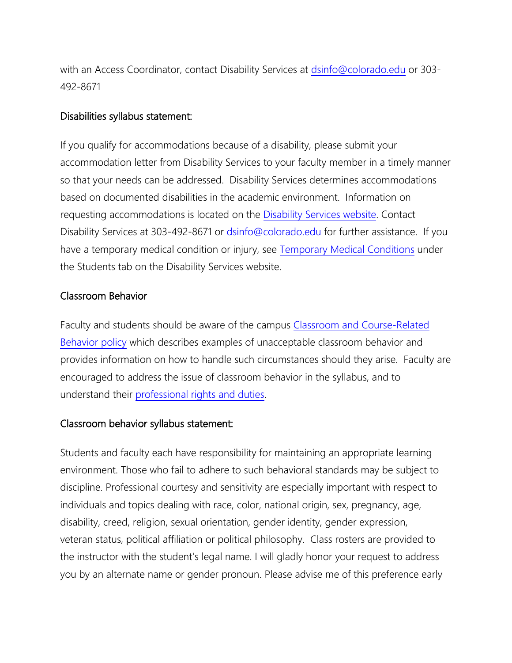with an Access Coordinator, contact Disability Services at [dsinfo@colorado.edu](mailto:dsinfo@colorado.edu) or 303- 492-8671

#### Disabilities syllabus statement:

If you qualify for accommodations because of a disability, please submit your accommodation letter from Disability Services to your faculty member in a timely manner so that your needs can be addressed. Disability Services determines accommodations based on documented disabilities in the academic environment. Information on requesting accommodations is located on the [Disability Services website.](http://www.colorado.edu/disabilityservices/students) Contact Disability Services at 303-492-8671 or [dsinfo@colorado.edu](mailto:dsinfo@colorado.edu) for further assistance. If you have a temporary medical condition or injury, see [Temporary Medical Conditions](http://www.colorado.edu/disabilityservices/students/temporary-medical-conditions) under the Students tab on the Disability Services website.

#### Classroom Behavior

Faculty and students should be aware of the campus [Classroom and Course-Related](http://www.colorado.edu/policies/student-classroom-and-course-related-behavior)  [Behavior policy](http://www.colorado.edu/policies/student-classroom-and-course-related-behavior) which describes examples of unacceptable classroom behavior and provides information on how to handle such circumstances should they arise. Faculty are encouraged to address the issue of classroom behavior in the syllabus, and to understand their [professional rights and duties.](http://www.colorado.edu/bfa/sites/default/files/attached-files/PRDJanuary16_2013_0.pdf)

#### Classroom behavior syllabus statement:

Students and faculty each have responsibility for maintaining an appropriate learning environment. Those who fail to adhere to such behavioral standards may be subject to discipline. Professional courtesy and sensitivity are especially important with respect to individuals and topics dealing with race, color, national origin, sex, pregnancy, age, disability, creed, religion, sexual orientation, gender identity, gender expression, veteran status, political affiliation or political philosophy. Class rosters are provided to the instructor with the student's legal name. I will gladly honor your request to address you by an alternate name or gender pronoun. Please advise me of this preference early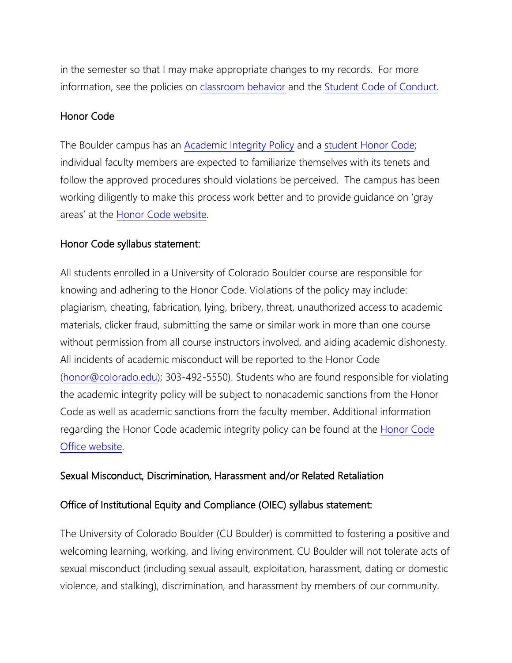in the semester so that I may make appropriate changes to my records. For more information, see the policies on [classroom behavior](http://www.colorado.edu/policies/student-classroom-and-course-related-behavior) and the [Student Code of Conduct.](http://www.colorado.edu/osccr/)

#### Honor Code

The Boulder campus has an [Academic Integrity Policy](http://www.colorado.edu/policies/academic-integrity-policy) and a [student Honor Code;](http://honorcode.colorado.edu/) individual faculty members are expected to familiarize themselves with its tenets and follow the approved procedures should violations be perceived. The campus has been working diligently to make this process work better and to provide guidance on 'gray areas' at the [Honor Code website.](http://honorcode.colorado.edu/)

#### Honor Code syllabus statement:

All students enrolled in a University of Colorado Boulder course are responsible for knowing and adhering to the Honor Code. Violations of the policy may include: plagiarism, cheating, fabrication, lying, bribery, threat, unauthorized access to academic materials, clicker fraud, submitting the same or similar work in more than one course without permission from all course instructors involved, and aiding academic dishonesty. All incidents of academic misconduct will be reported to the Honor Code [\(honor@colorado.edu\)](mailto:honor@colorado.edu); 303-492-5550). Students who are found responsible for violating the academic integrity policy will be subject to nonacademic sanctions from the Honor Code as well as academic sanctions from the faculty member. Additional information regarding the Honor Code academic integrity policy can be found at the [Honor](https://www.colorado.edu/osccr/honor-code) Code [Office website.](https://www.colorado.edu/osccr/honor-code)

#### Sexual Misconduct, Discrimination, Harassment and/or Related Retaliation

#### Office of Institutional Equity and Compliance (OIEC) syllabus statement:

The University of Colorado Boulder (CU Boulder) is committed to fostering a positive and welcoming learning, working, and living environment. CU Boulder will not tolerate acts of sexual misconduct (including sexual assault, exploitation, harassment, dating or domestic violence, and stalking), discrimination, and harassment by members of our community.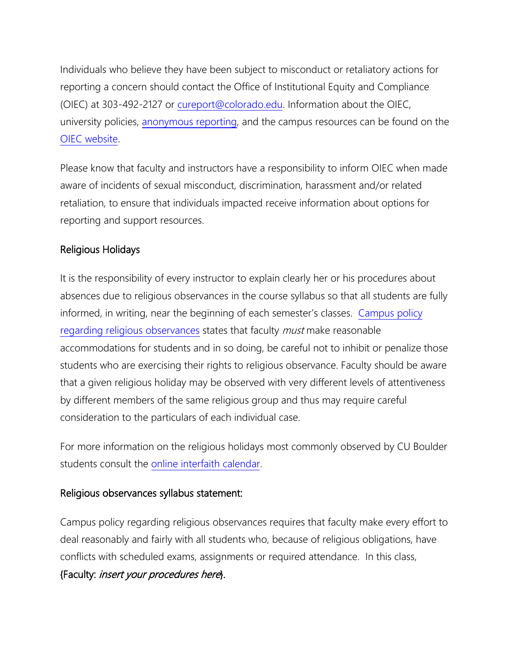Individuals who believe they have been subject to misconduct or retaliatory actions for reporting a concern should contact the Office of Institutional Equity and Compliance (OIEC) at 303-492-2127 or [cureport@colorado.edu.](mailto:cureport@colorado.edu) Information about the OIEC, university policies, [anonymous reporting,](https://cuboulder.qualtrics.com/jfe/form/SV_0PnqVK4kkIJIZnf) and the campus resources can be found on the [OIEC website.](http://www.colorado.edu/institutionalequity/)

Please know that faculty and instructors have a responsibility to inform OIEC when made aware of incidents of sexual misconduct, discrimination, harassment and/or related retaliation, to ensure that individuals impacted receive information about options for reporting and support resources.

# Religious Holidays

It is the responsibility of every instructor to explain clearly her or his procedures about absences due to religious observances in the course syllabus so that all students are fully informed, in writing, near the beginning of each semester's classes. [Campus policy](http://www.colorado.edu/policies/observance-religious-holidays-and-absences-classes-andor-exams)  [regarding religious observances](http://www.colorado.edu/policies/observance-religious-holidays-and-absences-classes-andor-exams) states that faculty *must* make reasonable accommodations for students and in so doing, be careful not to inhibit or penalize those students who are exercising their rights to religious observance. Faculty should be aware that a given religious holiday may be observed with very different levels of attentiveness by different members of the same religious group and thus may require careful consideration to the particulars of each individual case.

For more information on the religious holidays most commonly observed by CU Boulder students consult the [online interfaith calendar.](http://www.interfaith-calendar.org/)

#### Religious observances syllabus statement:

Campus policy regarding religious observances requires that faculty make every effort to deal reasonably and fairly with all students who, because of religious obligations, have conflicts with scheduled exams, assignments or required attendance. In this class, {Faculty: insert your procedures here}.